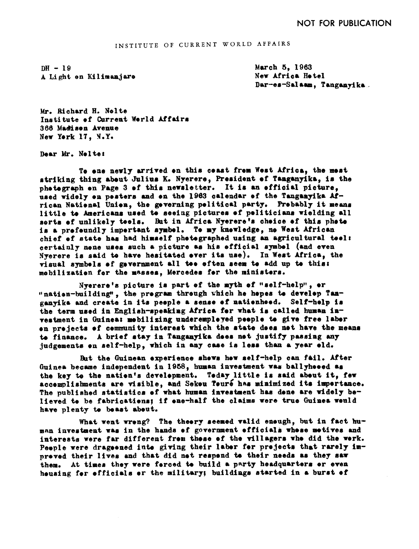INSTITUTE OF CURRENT WORLD AFFAIRS

 $DH - 19$ A Light on Kilimanjaro March 5, 1968 /ew Africa He tel Dar-es-Salaam, Tanganyika.

Mr. Richard H. Nelte Institute ef Current World Affairs 366 Madisen Avenue New York 17, N.Y.

Dear Mr. Nelte:

To one newly arrived en this coast from West Africa, the most striking thing about Julius K. Nyerere, President of Tanganyika, is the photograph on Page <sup>3</sup> of this newsletter. It is an official picture, used widely on pesters and on the 1963 calendar of the Tangaavika African National Union, the governing political party. Probably it means little to Americans used to seeing pictures of politicians wielding all sorts of unlikely teels. But in Africa Nyerere's choice of this photo is a profoundly important symbol. To my knowledge, no West African chief of state has had himself photographed using an agricultural tool: certainly nene uses such a picture as his efficial symbol (and even Nyerere is said to have hesitated ever its use). In West Africa, the visual symbols ef government all toe often seem to add up to thiss mobilization for the masses, Mercedes for the ministers.

Nyerere's picture is part of the myth of "self-help", or .nation-building", the program through 'hieh he hopes te develop Tanganyika and create in its people a sense ef nationhood. Self-help is the term used in English-speaking Africa for what is called human investment in Guineas mobilizing underemployed people te give free labor on projects of community interest which the state does not have the means to finance. A brief stay in Tanganyika does not justify passing any judgements en self-help, which in any case is less than a year eld.

But the Guinean experience shews hey self-help can fail. After Guinea became independent in 1958, human investment was ballyhooed as the key to the nation's development. Today little is said about it, few accemplishments are visible, and Sekeu Toure has minimized its importance. The published statistics of what human investment has dene are widely believed to be fabrications; if one-half the claims were true Guinea would have plenty to beast about.

What went wrong? The theory seemed valid enough, but in fact human investment was in the hands of government officials whose motives and interests were far different from those of the villagers who did the work. People were dragooned into giving their labor for projects that rarely improved their lives and that did net respond to their needs as they saw them. At times they were forced to build a party headquarters or even housing for officials or the military! buildings started in a burst of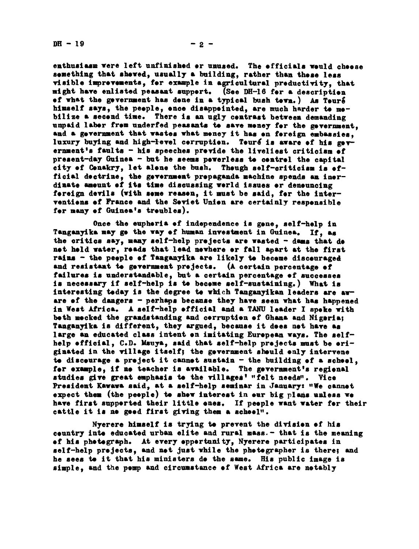enthusiasm were left unfinished or unused. The officials would choose semething that shewed, usually a building, rather than these less visible improvements, for example in agricultural productivity, that<br>might have enlisted peasant support. (See DH-16 for a description might have enlisted peasant support. of what the gevernment has dene in a typical bush tewn.) As Teuré himself says, the people, once disappointed, are much harder to mobilize a second time. There is an ugly contrast between demanding unpaid labor from underfed peasants to save money for the government, and a gevernment that wastes what meney it has en fereign embassies. luxury buying and high-level corruption. Touré is aware of his government's faults - his speeches provide the liveliest criticism of present-day Guinea- but he seems powerless to control the capital city of Conakry, let alone the bush. Though self-criticism is official dectrine, the gevernment prepaganda machine spends an inerdinate amount of its time discussing world issues or denouncing fereign devils (with seme reasen, it must be said, fer the interventions of France and the Soviet Union are certainly responsible for many of Guinea's troubles).

Once the euphoria of independence is gone, self-help in Tanganyika may ge the way of human investment in Guinea. If, as the critics say, many self-help projects are wasted  $-$  dams that de not hold water, reads that lead nowhere or fall apart at the first rains  $-$  the people of Tanganyika are likely to become discouraged and resistant to gevernment prejects. (A certain percentage of and resistant to gevernment projects. failures is understandable, but a certain percentage of successes is necessary if self-help is to become self-sustaining,) What is interesting today is the degree to which Tanganyikan leaders are aware of the dangers - perhaps because they have seen what has happened in West Africa, A seIf-help official and a TANU leader <sup>I</sup> spoke with both mocked the grandstanding and corruption of Ghana and Nigeria: Tanganyika is different, they argued, because it does not have as large an educated class intent on imitating European ways. The selfhelp official, C.D. Mauya, said that self-help projects must be originated in the village itself! the government should only intervene to discourage a project it cannot sustain  $-$  the building of a school. for example, if no teacher is available. The gevernment's regional studies give great emphasis to the villages' "felt needs". Vice President Kawawa said, at a self-help seminar in January: "We cannot expect them (the people) to show interest in our big plans unless we have first supported their little ones, If people want water fer their cattle it is no good first giving them a seheol".

Myerere himself is trying to prevent the division of his country into educated urban elite and rural mass- that is the meaning of his photograph. At every opportunity, Nyerere participates in self-help prejects, and not just while the photographer is there; and he sees to it that his ministers do the same. His public image is simple, and the pomp and circumstance of West Africa are notably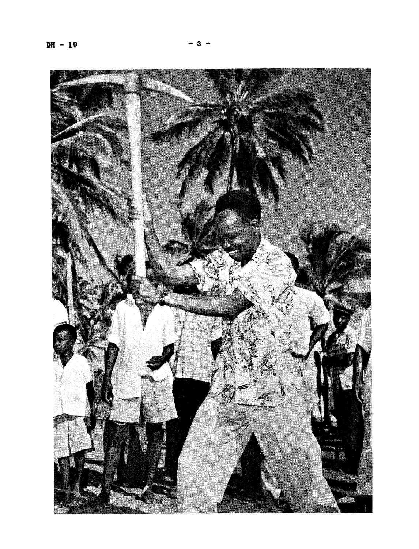